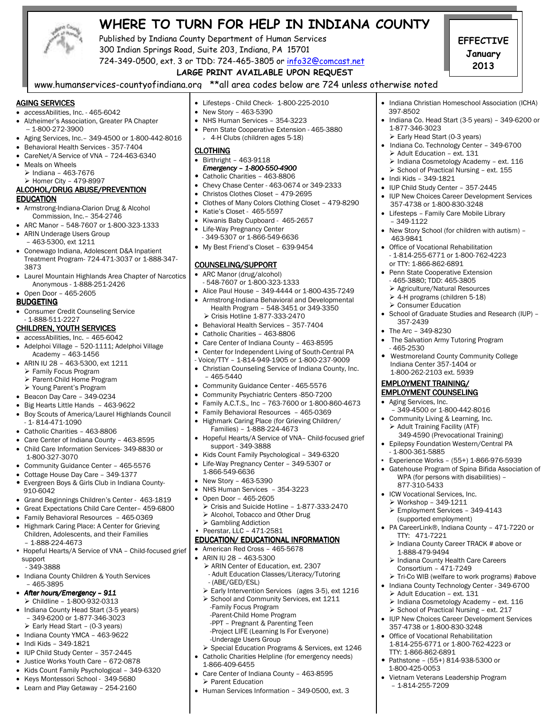

# **WHERE TO TURN FOR HELP IN INDIANA COUNTY**

Published by Indiana County Department of Human Services 300 Indian Springs Road, Suite 203, Indiana, PA 15701

**EFFECTIVE January 2013** 

• Indiana Christian Homeschool Association (ICHA)

• Indiana Co. Head Start (3-5 years) – 349-6200 or

• Indiana Co. Technology Center - 349-6700

 Indiana Cosmetology Academy – ext. 116  $\triangleright$  School of Practical Nursing - ext. 155

• IUP New Choices Career Development Services

• School of Graduate Studies and Research (IUP) –

• The Salvation Army Tutoring Program

 – 349-4500 or 1-800-442-8016 Community Living & Learning, Inc.  $\triangleright$  Adult Training Facility (ATF)

 349-4590 (Prevocational Training) • Epilepsy Foundation Western/Central PA

▪ Experience Works – (55+) 1-866-976-5939 • Gatehouse Program of Spina Bifida Association of WPA (for persons with disabilities) –

 Employment Services – 349-4143 (supported employment)

• PA CareerLink®, Indiana County – 471-7220 or

> Indiana County Career TRACK # above or

▶ Tri-Co WIB (welfare to work programs) #above • Indiana County Technology Center - 349-6700

 Indiana Cosmetology Academy – ext. 116 > School of Practical Nursing - ext. 217 • IUP New Choices Career Development Services

> Indiana County Health Care Careers Consortium – 471-7249

 Westmoreland County Community College Indiana Center 357-1404 or 1-800-262-2103 ext. 5939 EMPLOYMENT TRAINING/ EMPLOYMENT COUNSELING • Aging Services, Inc.

• New Story School (for children with autism) –

397-8502

1-877-346-3023

• Indi Kids – 349-1821

– 349-1122

463-9841

357-2439 • The Arc – 349-8230

- 1-800-361-5885

 877-310-5433 • ICW Vocational Services, Inc. Workshop – 349-1211

TTY: 471-7221

1-888-479-9494

Adult Education – ext. 131

 357-4738 or 1-800-830-3248 • Office of Vocational Rehabilitation 1-814-255-6771 or 1-800-762-4223 or

Pathstone – (55+) 814-938-5300 or

• Vietnam Veterans Leadership Program

TTY: 1-866-862-6891

– 1-814-255-7209

1-800-425-0053

- 465-2530

Early Head Start (0-3 years)

> Adult Education - ext. 131

• IUP Child Study Center – 357-2445

 357-4738 or 1-800-830-3248 • Lifesteps – Family Care Mobile Library

• Office of Vocational Rehabilitation - 1-814-255-6771 or 1-800-762-4223

 or TTY: 1-866-862-6891 • Penn State Cooperative Extension - 465-3880; TDD: 465-3805 Agriculture/Natural Resources 4-H programs (children 5-18) ▶ Consumer Education

## 724-349-0500, ext. 3 or TDD: 724-465-3805 or info32@comcast.net  **LARGE PRINT AVAILABLE UPON REQUEST**

www.humanservices-countyofindiana.org \*\*all area codes below are 724 unless otherwise noted

#### AGING SERVICES

- *access*Abilities, Inc. 465-6042
- Alzheimer's Association, Greater PA Chapter  $-1 - 800 - 272 - 3900$
- Aging Services, Inc.– 349-4500 or 1-800-442-8016
- Behavioral Health Services 357-7404
- CareNet/A Service of VNA 724-463-6340
- Meals on Wheels
- $\triangleright$  Indiana 463-7676 Homer City – 479-8997

#### ALCOHOL/DRUG ABUSE/PREVENTION **EDUCATION**

- Armstrong-Indiana-Clarion Drug & Alcohol Commission, Inc.– 354-2746
- ARC Manor 548-7607 or 1-800-323-1333
- ARIN Underage Users Group – 463-5300, ext 1211
- Conewago Indiana, Adolescent D&A Inpatient Treatment Program- 724-471-3037 or 1-888-347- 3873
- Laurel Mountain Highlands Area Chapter of Narcotics Anonymous - 1-888-251-2426
- Open Door 465-2605

### **BUDGETING**

• Consumer Credit Counseling Service - 1-888-511-2227

#### CHILDREN, YOUTH SERVICES

### • *access*Abilities, Inc. – 465-6042

- Adelphoi Village 520-1111; Adelphoi Village Academy – 463-1456
- ARIN IU 28 463-5300, ext 1211
	- Family Focus Program
	- Parent-Child Home Program
- Young Parent's Program
- Beacon Day Care 349-0234
- Big Hearts Little Hands 463-9622
- Boy Scouts of America/Laurel Highlands Council  $-1.814 - 471 - 1090$
- Catholic Charities 463-8806
- Care Center of Indiana County 463-8595
- Child Care Information Services- 349-8830 or 1-800-327-3070
- Community Guidance Center 465-5576
- Cottage House Day Care 349-1377
- Evergreen Boys & Girls Club in Indiana County- 910-6042
- Grand Beginnings Children's Center 463-1819
- Great Expectations Child Care Center– 459-6800
- Family Behavioral Resources 465-0369
- Highmark Caring Place: A Center for Grieving Children, Adolescents, and their Families – 1-888-224-4673
- Hopeful Hearts/A Service of VNA Child-focused grief support
- 349-3888
- Indiana County Children & Youth Services – 465-3895
- *After hours/Emergency – After hours/Emergency 911*   $\triangleright$  Childline – 1-800-932-0313
- Indiana County Head Start (3-5 years) – 349-6200 or 1-877-346-3023  $\triangleright$  Early Head Start - (0-3 years)
- Indiana County YMCA 463-9622
- Indi Kids 349-1821
- IUP Child Study Center 357-2445
- Justice Works Youth Care 672-0878
- Kids Count Family Psychological 349-6320
- Keys Montessori School 349-5680
- Learn and Play Getaway 254-2160
- Lifesteps Child Check- 1-800-225-2010
- New Story 463-5390
- NHS Human Services 354-3223
- Penn State Cooperative Extension 465-3880 4-H Clubs (children ages 5-18)

#### **CLOTHING**

#### • Birthright – 463-9118 *Emergency – – 1-800-550-4900*

- Catholic Charities 463-8806
- Chevy Chase Center 463-0674 or 349-2333 • Christos Clothes Closet – 479-2695
- 
- Clothes of Many Colors Clothing Closet 479-8290
- Katie's Closet 465-5597
- Kiwanis Baby Cupboard 465-2657
- Life-Way Pregnancy Center
- 349-5307 or 1-866-549-6636 • My Best Friend's Closet – 639-9454

### COUNSELING/SUPPORT

- ARC Manor (drug/alcohol)
- 548-7607 or 1-800-323-1333
- Alice Paul House 349-4444 or 1-800-435-7249 • Armstrong-Indiana Behavioral and Developmental
- Health Program 548-3451 or 349-3350 Crisis Hotline 1-877-333-2470
- Behavioral Health Services 357-7404
- Catholic Charities 463-8806
- Care Center of Indiana County 463-8595
- Center for Independent Living of South-Central PA
- Voice/TTY 1-814-949-1905 or 1-800-237-9009
- Christian Counseling Service of Indiana County, Inc. – 465-5440
- Community Guidance Center 465-5576
- Community Psychiatric Centers -850-7200
- Family A.C.T.S., Inc 763-7600 or 1-800-860-4673
- Family Behavioral Resources 465-0369
- Highmark Caring Place (for Grieving Children/  $Families) - 1-888-224-4673$
- Hopeful Hearts/A Service of VNA– Child-focused grief support - 349-3888
- Kids Count Family Psychological 349-6320
- Life-Way Pregnancy Center 349-5307 or 1-866-549-6636
- New Story 463-5390
- NHS Human Services 354-3223
- Open Door 465-2605
- Crisis and Suicide Hotline 1-877-333-2470 > Alcohol, Tobacco and Other Drug
- ▶ Gambling Addiction
- Peerstar, LLC 471-2581

# EDUCATION/ EDUCATIONAL INFORMATION

- American Red Cross 465-5678
- ARIN IU 28 463-5300

 -Parent-Child Home Program -PPT – Pregnant & Parenting Teen -Project LIFE (Learning Is For Everyone)

-Underage Users Group

1-866-409-6455

Parent Education

- ARIN Center of Education, ext. 2307 - Adult Education Classes/Literacy/Tutoring
- (ABE/GED/ESL) Early Intervention Services (ages 3-5), ext 1216
- School and Community Services, ext 1211 -Family Focus Program

 Special Education Programs & Services, ext 1246 Catholic Charities Helpline (for emergency needs)

• Care Center of Indiana County – 463-8595

• Human Services Information – 349-0500, ext. 3